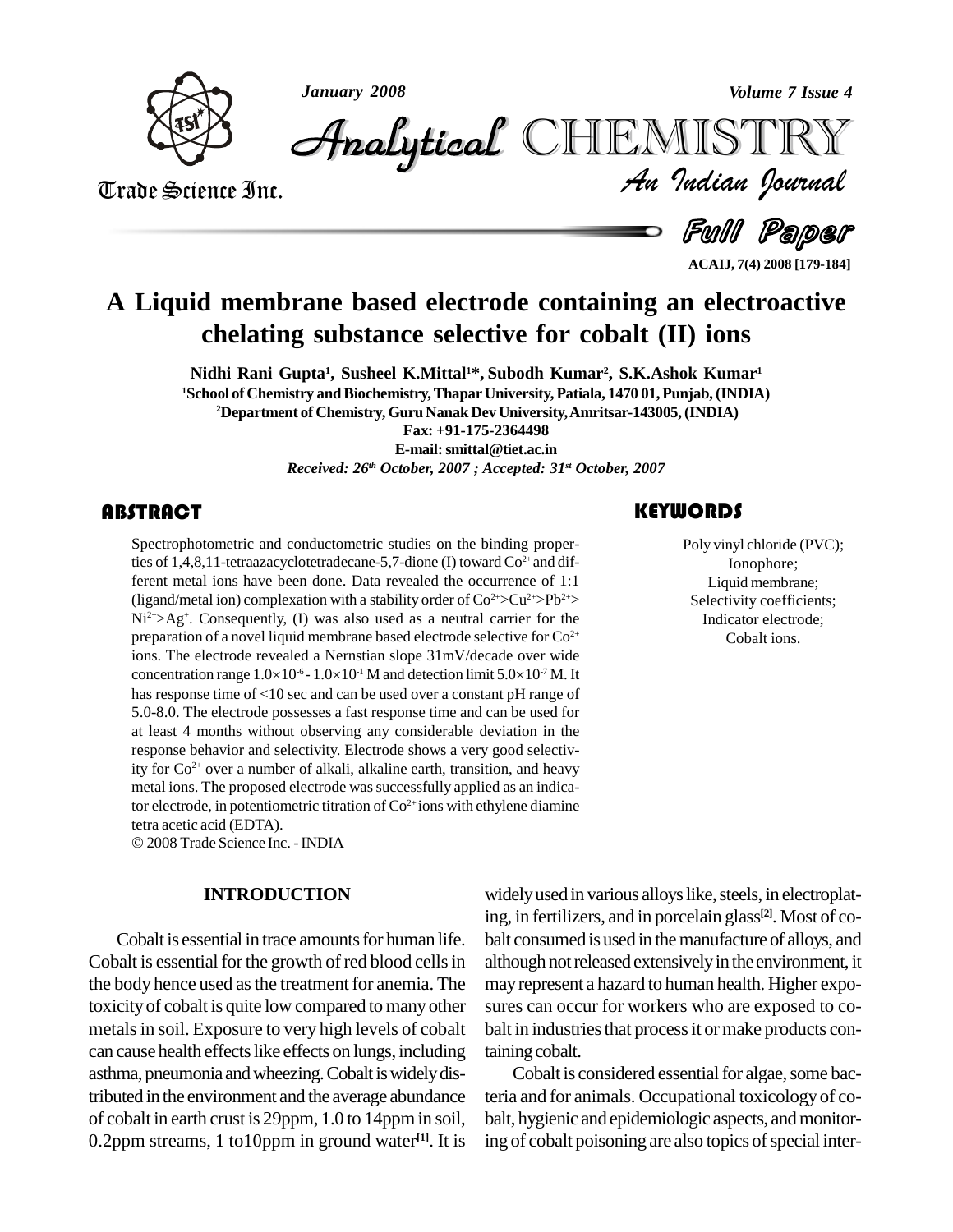

*January 2008 Volume 7 Issue 4*

*Volume 7 Issue 4*<br>IISTRY<br>Indian Iournal CHEMISTRY

Trade Science Inc. Trade Science Inc.

Full Paper

**ACAIJ, 7(4) 2008 [179-184]**

# **A Liquid membrane based electrode containing an electroactive chelating substance selective for cobalt (II) ions**

**Nidhi Rani Gupta 1 , Susheel K.Mittal1\*, Subodh Kumar 2 , S.K.Ashok Kumar 1 <sup>1</sup>School of Chemistry andBiochemistry,ThaparUniversity, Patiala, 1470 01,Punjab,(INDIA) <sup>2</sup>Department of Chemistry, Guru NanakDev University,Amritsar-143005,(INDIA) Fax: +91-175-2364498**

**E-mail:[smittal@tiet.ac.in](mailto:smittal@tiet.ac.in)**

*Received: 26 th October, 2007 ; Accepted: 31 st October, 2007*

#### **ABSTRACT**

Spectrophotometric and conductometric studies on the binding proper-<br>ties of 1,4,8,11-tetraazacyclotetradecane-5,7-dione (I) toward  $Co^{2+}$  and dif-<br>ferent metal ions have been done. Data revealed the occurrence of 1:1 Spectrophotometric and conductometric studies on the binding properties of  $1,4,8,11$ -tetraazacyclotetradecane-5,7-dione (I) toward  $Co<sup>2+</sup>$  and dif-(ligand/metal ion) complexation with a stability order of  $Co^{2+} > Cu^{2+} > Pb^{2+} >$  $Ni<sup>2+</sup> > Ag<sup>+</sup>$ . Consequently, (I) was also used as a neutral carrier for the preparation of a novel liquid membrane based electrode selective for  $Co^{2+}$ ions. The electrode revealed a Nernstian slope 31mV/decade over wide preparation of a novel liquid membrane based electrode selective for  $Co^{2+}$  ions. The electrode revealed a Nernstian slope  $31 \text{mV/decade}$  over wide concentration range  $1.0 \times 10^{-6}$  -  $1.0 \times 10^{-1}$  M and detection limit has response time of <10 sec and can be used over a constant pH range of 5.0-8.0. The electrode possesses a fast response time and can be used for at least 4 months without observing any considerable deviation in the response behavior and selectivity. Electrode shows a very good selectivity for Co 2+ over a number of alkali, alkaline earth, transition, and heavy metal ions. The proposed electrode was successfully applied as an indicator electrode, in potentiometric titration of Co<sup>2+</sup>ions with ethylene diamine tetra acetic acid (EDTA).

2008Trade Science Inc. -INDIA

#### **INTRODUCTION**

Cobalt is essential in trace amounts for human life. Cobalt is essential for the growth of red blood cells in the body hence used as the treatment for anemia. The toxicityof cobalt is quite low compared to manyother metals in soil. Exposure to very high levels of cobalt can cause health effects like effects on lungs, including asthma, pneumonia and wheezing. Cobalt is widely distributed in the environment and the average abundance of cobalt in earth crust is 29ppm, 1.0 to 14ppmin soil, 0.2ppm streams, 1 to10ppm in ground water **[1]**. It is

Poly vinyl chloride (I<br>Ionophore;<br>Liquid membran Poly vinyl chloride (PVC); Ionophore; Liquid membrane; Selectivity coefficients; Indicator electrode; Cobalt ions.

widely used in various alloys like, steels, in electroplating, in fertilizers, and in porcelain glass **[2]**. Most of co balt consumed is used in the manufacture of alloys, and although not released extensively in the environment, it mayrepresent a hazard to human health. Higher expo sures can occur for workers who are exposed to co balt in industries that process it or make products containing cobalt.

Cobalt is considered essential for algae, some bacteria and for animals. Occupational toxicology of co balt, hygienic and epidemiologic aspects, and monitoring of cobalt poisoning are also topics of special inter-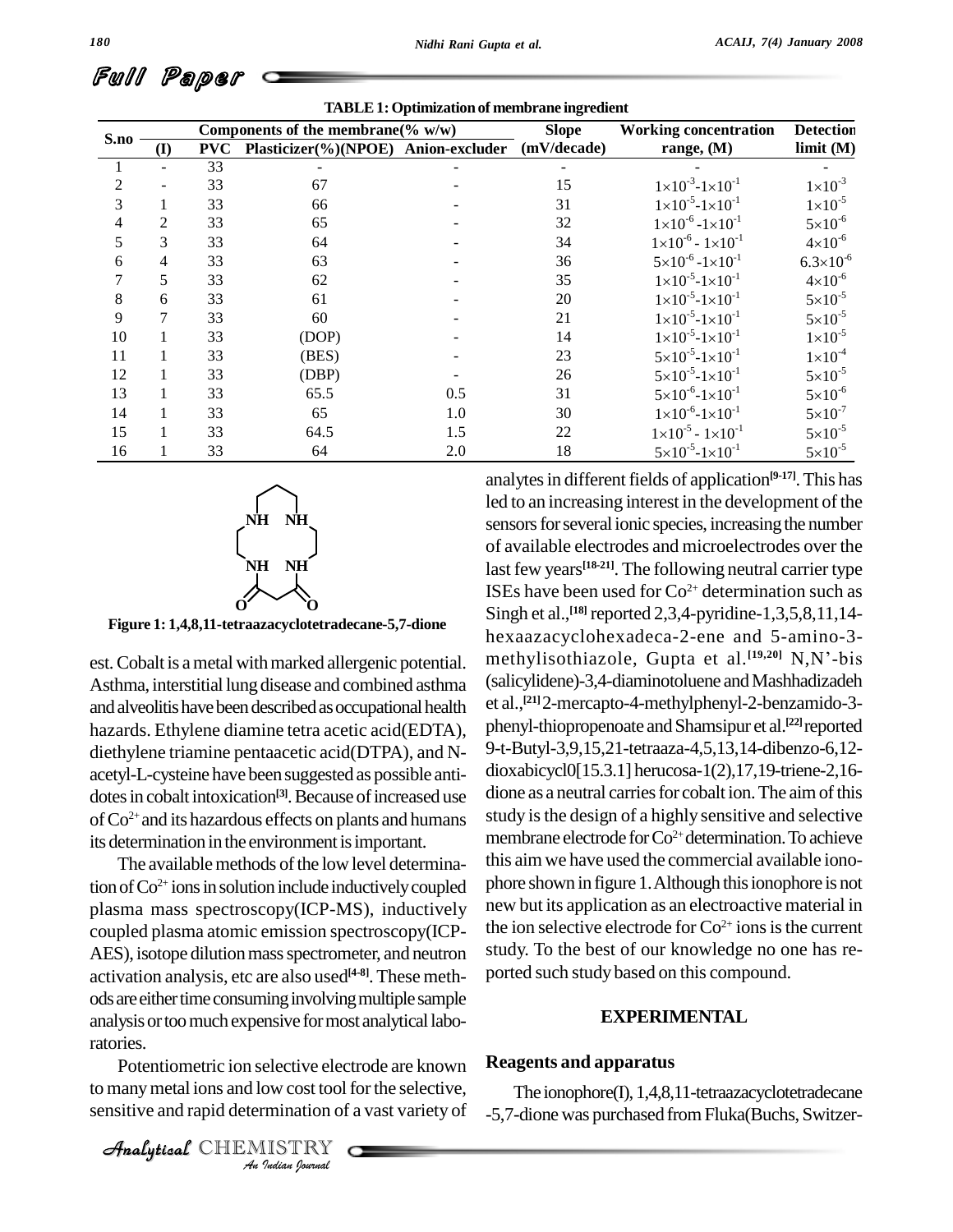|      | <b>TABLE 1: Optimization of membrane ingredient</b> |                                       |                      |                |             |                                        |                      |  |  |  |
|------|-----------------------------------------------------|---------------------------------------|----------------------|----------------|-------------|----------------------------------------|----------------------|--|--|--|
| S.no |                                                     | Components of the membrane( $\%$ w/w) |                      |                |             | <b>Working concentration</b>           | <b>Detection</b>     |  |  |  |
|      | (I)                                                 | <b>PVC</b>                            | Plasticizer(%)(NPOE) | Anion-excluder | (mV/decade) | range, $(M)$                           | limit(M)             |  |  |  |
|      |                                                     | 33                                    |                      |                |             |                                        |                      |  |  |  |
| 2    |                                                     | 33                                    | 67                   |                | 15          | $1 \times 10^{-3} - 1 \times 10^{-1}$  | $1 \times 10^{-3}$   |  |  |  |
| 3    |                                                     | 33                                    | 66                   |                | 31          | $1 \times 10^{-5} - 1 \times 10^{-1}$  | $1 \times 10^{-5}$   |  |  |  |
| 4    | $\overline{2}$                                      | 33                                    | 65                   |                | 32          | $1 \times 10^{-6} - 1 \times 10^{-1}$  | $5 \times 10^{-6}$   |  |  |  |
| 5    | 3                                                   | 33                                    | 64                   |                | 34          | $1 \times 10^{-6} - 1 \times 10^{-1}$  | $4 \times 10^{-6}$   |  |  |  |
| 6    | $\overline{4}$                                      | 33                                    | 63                   |                | 36          | $5 \times 10^{-6}$ -1×10 <sup>-1</sup> | $6.3 \times 10^{-6}$ |  |  |  |
|      | 5                                                   | 33                                    | 62                   |                | 35          | $1 \times 10^{-5} - 1 \times 10^{-1}$  | $4 \times 10^{-6}$   |  |  |  |
| 8    | 6                                                   | 33                                    | 61                   |                | $20\,$      | $1 \times 10^{-5} - 1 \times 10^{-1}$  | $5 \times 10^{-5}$   |  |  |  |
| 9    |                                                     | 33                                    | 60                   |                | 21          | $1 \times 10^{-5} - 1 \times 10^{-1}$  | $5 \times 10^{-5}$   |  |  |  |
| 10   |                                                     | 33                                    | (DOP)                |                | 14          | $1 \times 10^{-5} - 1 \times 10^{-1}$  | $1 \times 10^{-5}$   |  |  |  |
| 11   |                                                     | 33                                    | (BES)                |                | 23          | $5 \times 10^{-5} - 1 \times 10^{-1}$  | $1\times10^{-4}$     |  |  |  |
| 12   |                                                     | 33                                    | (DBP)                |                | 26          | $5 \times 10^{-5}$ -1×10 <sup>-1</sup> | $5 \times 10^{-5}$   |  |  |  |
| 13   |                                                     | 33                                    | 65.5                 | 0.5            | 31          | $5 \times 10^{-6}$ -1×10 <sup>-1</sup> | $5 \times 10^{-6}$   |  |  |  |
| 14   |                                                     | 33                                    | 65                   | 1.0            | 30          | $1 \times 10^{-6} - 1 \times 10^{-1}$  | $5 \times 10^{-7}$   |  |  |  |
| 15   |                                                     | 33                                    | 64.5                 | 1.5            | 22          | $1 \times 10^{-5} - 1 \times 10^{-1}$  | $5 \times 10^{-5}$   |  |  |  |
| 16   |                                                     | 33                                    | 64                   | 2.0            | 18          | $5 \times 10^{-5}$ -1×10 <sup>-1</sup> | $5 \times 10^{-5}$   |  |  |  |





**Figure 1: 1,4,8,11-tetraazacyclotetradecane-5,7-dione**

est.Cobalt is ametal withmarked allergenic potential. Asthma, interstitial lung disease and combined asthma and alveolitis have been described as occupational health hazards. Ethylene diamine tetra acetic acid(EDTA), diethylene triamine pentaacetic acid(DTPA), and N-acetyl-L-cysteine have beensuggested as possible anti dotes in cobalt intoxication<sup>[3]</sup>. Because of increased use dione of  $Co^{2+}$  and its hazardous effects on plants and humans study its determination in the environment is important.

analysis or too much expensive for most analytical laboratories. The available methods of the low level determination of  $Co^{2+}$  ions in solution include inductively coupled phore s plasma mass spectroscopy(ICP-MS), inductively coupled plasma atomic emission spectroscopy(ICP- AES), isotope dilution mass spectrometer, and neutron activation analysis, etc are also used **[4-8]**. These meth ods are either time consuming involving multiple sample

*Indian*<br> **I**ndian of<br> **IISTRY**<br> *I*ndian *Iourual* Potentiometric ion selective electrode are known to many metal ions and low cost tool for the selective, sensitive and rapid determination of a vast variety of

analytes in different fields of application<sup>[9-17]</sup>. This has led to an increasing interest in the development of the sensors for several ionic species, increasing the number of available electrodes and microelectrodes over the last few years **[18-21]**. The following neutral carrier type ISEs have been used for  $Co^{2+}$  determination such as Singh et al., **[18]** reported 2,3,4-pyridine-1,3,5,8,11,14 hexaazacyclohexadeca-2-ene and 5-amino-3 methylisothiazole, Gupta et al.<sup>[19,20]</sup> N,N'-bis e-1,3,5,8,11,14-<br>nd 5-amino-3-<br><sup>[19,20]</sup> N,N'-bis (salicylidene)-3,4-diaminotoluene and Mashhadizadeh et al., **[21]**2-mercapto-4-methylphenyl-2-benzamido-3 phenyl-thiopropenoate and Shamsipur et al.<sup>[22]</sup> reported 9-t-Butyl-3,9,15,21-tetraaza-4,5,13,14-dibenzo-6,12 dioxabicycl0[15.3.1] herucosa-1(2),17,19-triene-2,16 dione as a neutral carries for cobalt ion. The aim of this study isthe design of a highly sensitive and selective membrane electrode for Co<sup>2+</sup> determination. To achieve this aimwe have used the commercial available iono phore shown in figure 1. Although this ionophore is not new but its application as an electroactive material in the ion selective electrode for  $Co^{2+}$  ions is the current study. To the best of our knowledge no one has re ported such study based on this compound.

#### **EXPERIMENTAL**

#### **Reagents and apparatus**

The ionophore(I), 1,4,8,11-tetraazacyclotetradecane -5,7-dione was purchased fromFluka(Buchs, Switzer-

CHEMISTRY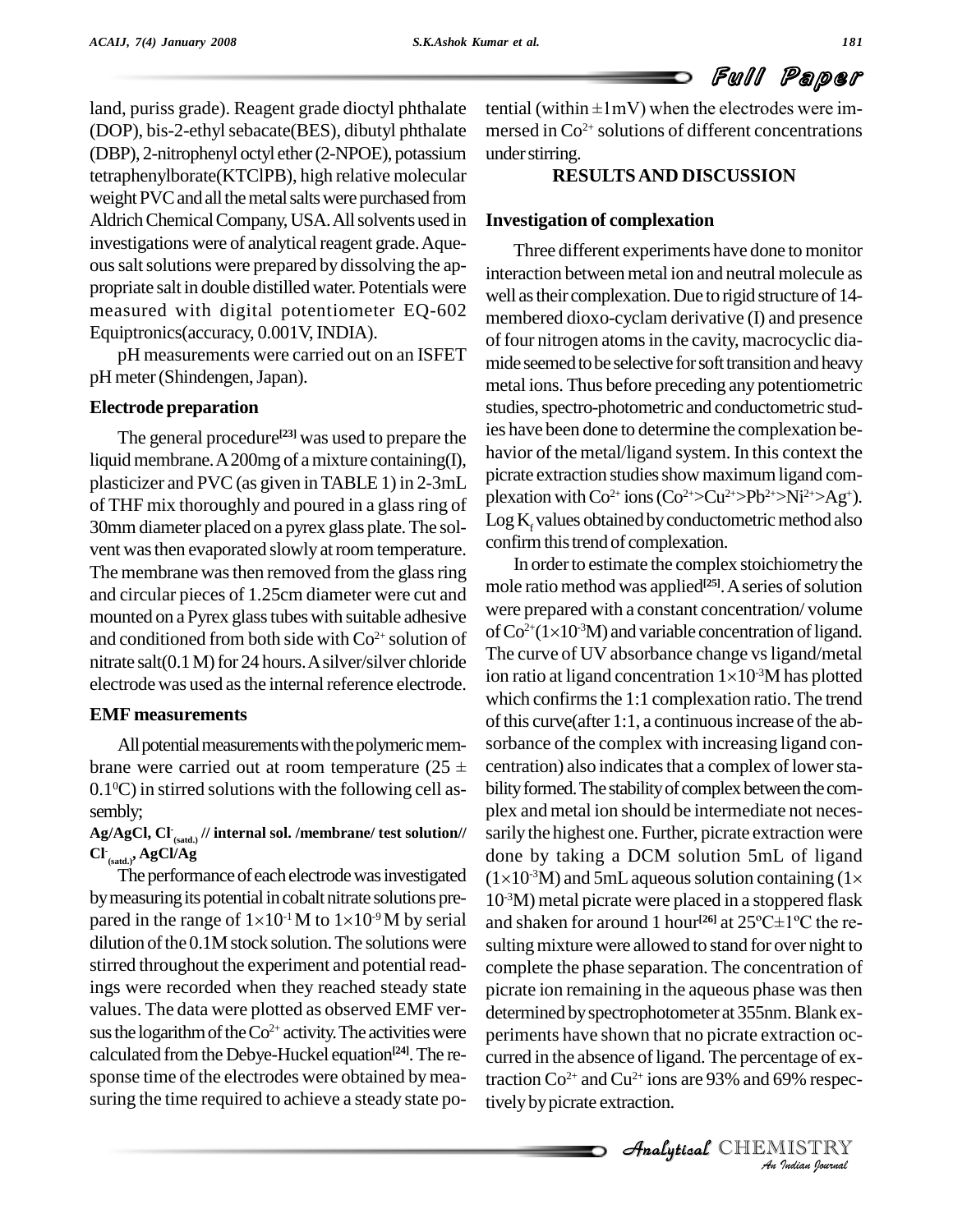land, puriss grade). Reagent grade dioctyl phthalate (DOP), bis-2-ethyl sebacate(BES), dibutyl phthalate (DBP), 2-nitrophenyl octyl ether(2-NPOE), potassium tetraphenylborate(KTClPB), high relative molecular weight PVC and all the metal salts were purchased from Aldrich Chemical Company, USA. All solvents used in investigations were of analytical reagent grade. Aqueoussaltsolutions were prepared bydissolving the ap propriate salt in double distilled water. Potentials were measured with digital potentiometer EQ-602 Equiptronics(accuracy, 0.001V, INDIA).

pH measurements were carried out on an ISFET pH meter(Shindengen,Japan).

#### **Electrode preparation**

The general procedure<sup>[23]</sup> was used to prepare the  $\frac{1}{1}$ liquid membrane. A 200mg of a mixture containing(I), plasticizer and PVC(as given inTABLE 1) in 2-3mL of THF mix thoroughly and poured in a glassring of 30mmdiameter placed on a pyrex glass plate.The sol vent was then evaporated slowly at room temperature. The membrane was then removed from the glass ring and circular pieces of 1.25cm diameter were cut and mounted on a Pyrex glass tubes with suitable adhesive and conditioned from both side with  $Co^{2+}$  solution of  $\Box$ nitrate salt(0.1 M) for 24 hours. A silver/silver chloride electrode was used as the internal reference electrode.

#### **EMF measurements**

All potential measurements with the polymeric membrane were carried out at room temperature (25  $\pm$  $0.1\textdegree$ C) in stirred solutions with the following cell as-<br>bilit sembly;

 $\mathbf{Ag/AgCl}, \mathbf{Cl}_{\mathsf{(sadd.)}}$  // internal sol. /membrane/ test solution//  $\phantom{zz}$  sa **Cl - (satd.), AgCl/Ag**

The performance of each electrode was investigated ( $1 \times 10^{-3}$ <br>by measuring its potential in cobalt nitrate solutions pre-<br>pared in the range of  $1 \times 10^{-1}$  M to  $1 \times 10^{-9}$  M by serial and sha by measuring its potential in cobalt nitrate solutions prepared in the range of  $1\times10^{-1}$  M to  $1\times10^{-9}$  M by serial  $dilution of the  $0.1M$  stock solution. The solutions were$ stirred throughout the experiment and potential readings were recorded when they reached steady state values. The data were plotted as observed EMF ver sus the logarithm of the  $Co^{2+}$  activity. The activities were perim calculated from the Debye-Huckel equation<sup>[24]</sup>. The re- curi sponse time of the electrodes were obtained bymea suring the time required to achieve a steady state po-

tential (within  $\pm 1$ mV) when the electrodes were immersed in  $Co^{2+}$  solutions of different concentrations under stirring.

#### **RESULTSAND DISCUSSION**

#### **Investigation of complexation**

Three different experiments have done to monitor interaction between metal ion and neutral molecule as well as their complexation. Due to rigid structure of 14membered dioxo-cyclam derivative (I) and presence of four nitrogen atoms in the cavity, macrocyclic diamide seemed to be selective for soft transition and heavy metal ions. Thus before preceding any potentiometric studies, spectro-photometric and conductometric studies have been done to determine the complexation be havior of the metal/ligand system. In this context the picrate extraction studies show maximum ligand complexation with  $Co^{2+}$  ions  $(Co^{2+} > Cu^{2+} > Pb^{2+} > Ni^{2+} > Ag^+).$  $Log K<sub>r</sub>$  values obtained by conductometric method also confirm this trend of complexation.

periments have shown that no picrate extraction oc-*Intage of ex-<br>19% respec-<br>IISTRY<br><i>Indian hournal* In order to estimate the complex stoichiometry the mole ratio method was applied<sup>[25]</sup>. A series of solution<br>were prepared with a constant concentration/ volume<br>of Co<sup>2+</sup>(1×10<sup>-3</sup>M) and variable concentration of ligand. were prepared with a constant concentration/ volume of Co<sup>2+</sup>(1×10<sup>-3</sup>M) and variable concentration of ligand.<br>The curve of UV absorbance change vs ligand/metal<br>ion ratio at ligand concentration 1×10<sup>-3</sup>M has plotted The curve of UV absorbance change vs ligand/metal ion ratio at ligand concentration  $1 \times 10^{-3}$ M has plotted which confirms the  $1:1$  complexation ratio. The trend of this curve(after 1:1, a continuous increase of the absorbance of the complex with increasing ligand con centration) also indicates that a complex of lower stability formed. The stability of complex between the complex and metal ion should be intermediate not neces sarily the highest one. Further, picrate extraction were done by taking a DCM solution 5mL of ligand sarily the highest one. Further, picrate extraction were<br>done by taking a DCM solution 5mL of ligand<br> $(1\times10^{-3}M)$  and 5mL aqueous solution containing  $(1\times$ 10 -3M) metal picrate were placed in a stoppered flask and shaken for around 1 hour<sup>[26]</sup> at  $25^{\circ}$ C $\pm$ 1<sup>°</sup>C the re- $(1\times10^{-3}M)$  and 5mL aqueous solution containing  $(1\times10^{-3}M)$ sulting mixture were allowed to stand for over night to complete the phase separation. The concentration of picrate ion remaining in the aqueous phase wasthen determined by spectrophotometer at 355nm. Blank excurred in the absence of ligand. The percentage of extraction  $Co^{2+}$  and  $Cu^{2+}$  ions are 93% and 69% respectively by picrate extraction.

CHEMISTRY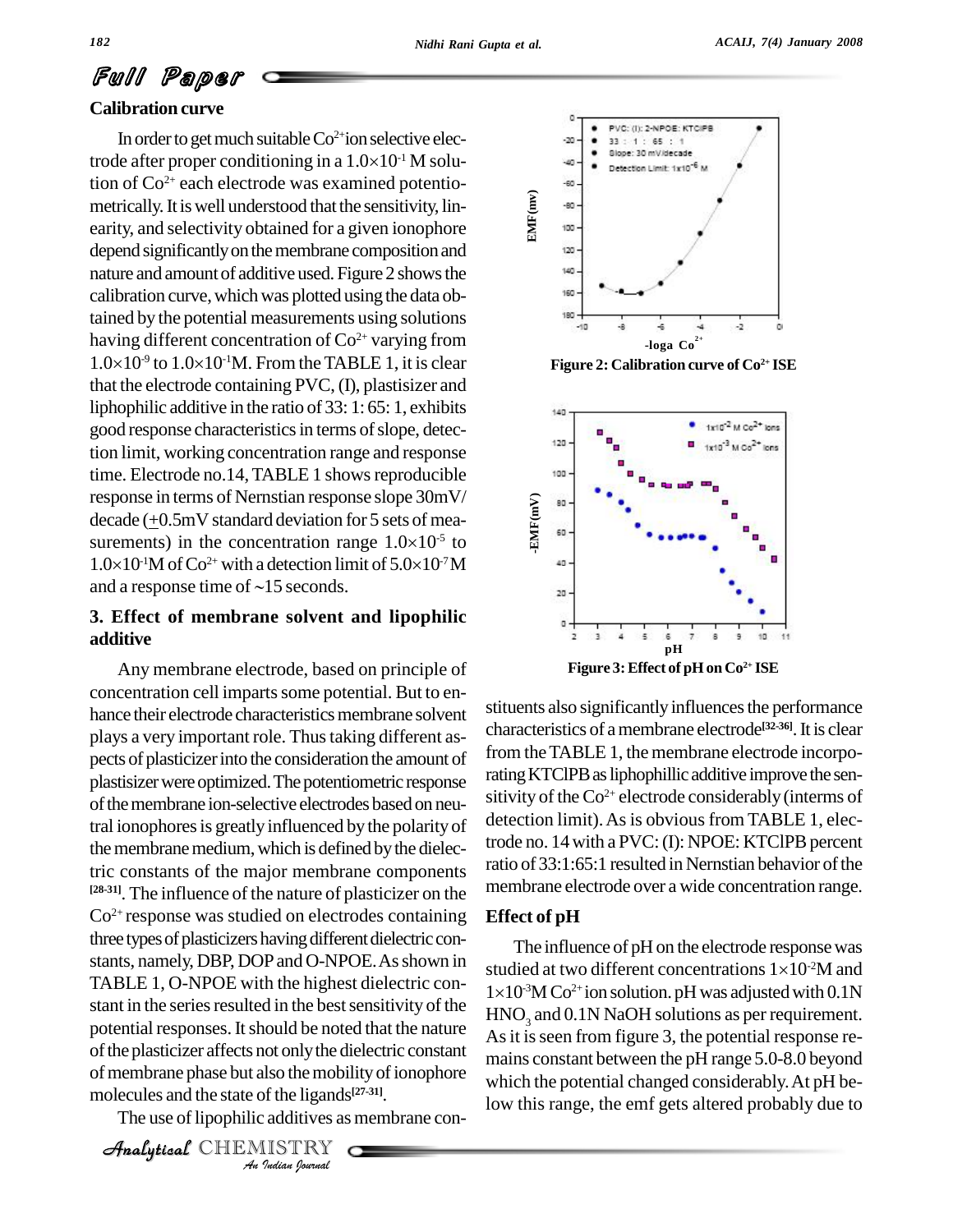# Full Paper

#### **Calibration curve**

In order to get much suitable  $Co^{2+}$ ion selective elec-**Canbration curve**<br>In order to get much suitable  $Co^{2+}$ ion selective electrode after proper conditioning in a  $1.0\times10^{-1}$  M solution of Co 2+ each electrode was examined potentio metrically. It is well understood that the sensitivity, linearity, and selectivity obtained for a given ionophore depend significantly on the membrane composition and nature and amount of additive used. Figure 2 shows the calibration curve, which was plotted using the data obtained by the potential measurements using solutions having different concentration of  $Co^{2+}$  varying from tained by the potential measure<br>having different concentration  $1.0\times10^{5}$  to  $1.0\times10^{10}$ . From <sup>-9</sup> to  $1.0\times10$ <sup>-1</sup>M. From the TABLE 1, it is clear that the electrode containing PVC, (I), plastisizer and liphophilic additive in the ratio of 33: 1: 65: 1, exhibits good response characteristics in terms of slope, detection limit, working concentration range and response time. Electrode no.14, TABLE 1 shows reproducible response in terms of Nernstian response slope 30mV/ decade ( $\pm$ 0.5mV standard deviation for 5 sets of measurements) in the concentration range  $1.0\times10^{-5}$  to  $1.0\times10^{-1}$ M of Co<sup>2+</sup> with a detection limit of  $5.0\times10^{-7}$ M response in terms of Nernstian response slope  $30 \text{mV}$ <br>decade ( $\pm 0.5 \text{mV}$  standard deviation for 5 sets of mea-<br>surements) in the concentration range  $1.0 \times 10^{-5}$  to  $^{-1}$ M of Co<sup>2+</sup> with a detection limit of  $5.0 \times 10^{-7}$ M Standard deviation for 5 sets of mea-<br>the concentration range  $1.0\times10^{5}$  to<br><sup>2+</sup> with a detection limit of  $5.0\times10^{7}$ M surements) in the concentration range  $1.0 \times 10^{-1}$ M of Co<sup>2+</sup> with a detection limit of and a response time of ~15 seconds.

#### **3. Effect of membrane solvent and lipophilic additive**

potential responses. It should be noted that the nature  $\overrightarrow{As}$  it i *Indian Journal*<br>*Indian*<br>*Indian*<br>*I*ISTRY<br>*Indian Journal*  $\frac{A_S}{A_S}$  of the plasticizer affects not only the dielectric constant Any membrane electrode, based on principle of concentration cell imparts some potential. But to enhance their electrode characteristics membrane solvent plays a very important role. Thus taking different aspects of plasticizer into the consideration the amount of plastisizer were optimized. The potentiometric response of the membrane ion-selective electrodes based on neutral ionophores is greatly influenced by the polarity of the membrane medium, which is defined by the dielectric constants of the major membrane components **[28-31]**. The influence of the nature of plasticizer on the  $Co<sup>2+</sup>$  response was studied on electrodes containing Effect three types of plasticizers having different dielectric constants, namely, DBP, DOPand O-NPOE.Asshown in TABLE 1, O-NPOE with the highest dielectric con stant in the series resulted in the best sensitivity of the  $HNO<sub>2</sub>$  and  $0.1N$  NaOH solutions as per requirement. of membrane phase but also the mobility of ionophore which molecules and the state of the ligands<sup>[27-31]</sup>.

The use of lipophilic additives as membrane con-

**Analytical** CHEMISTRY



**Figure 2: Calibration curve of Co<sup>2+</sup> ISE** 



stituents also significantly influences the performance characteristics of amembrane electrode **[32-36]**.It is clear from theTABLE 1, the membrane electrode incorporating KTClPB as liphophillic additive improve the sensitivity of the  $Co^{2+}$  electrode considerably (interms of detection limit). As is obvious from TABLE 1, electrode no.  $14$  with a PVC: (I): NPOE: KTClPB percent ratio of 33:1:65:1 resulted in Nernstian behavior of the membrane electrode over a wide concentration range.

#### **Effect of pH**

The influence of pH on the electrode responsewas **EITECT OF PH**<br>The influence of pH on the electrode response was<br>studied at two different concentrations  $1\times10^{2}M$  and The influer<br>studied at two<br> $1\times10^{3}M\text{Co}^{2+}\text{i}$  $\rm ^3M$  Co<sup>2+</sup>ion solution. pH was adjusted with 0.1N As it is seen from figure 3, the potential response remains constant between the pH range 5.0-8.0 beyond which the potential changed considerably.At pH below this range, the emf gets altered probably due to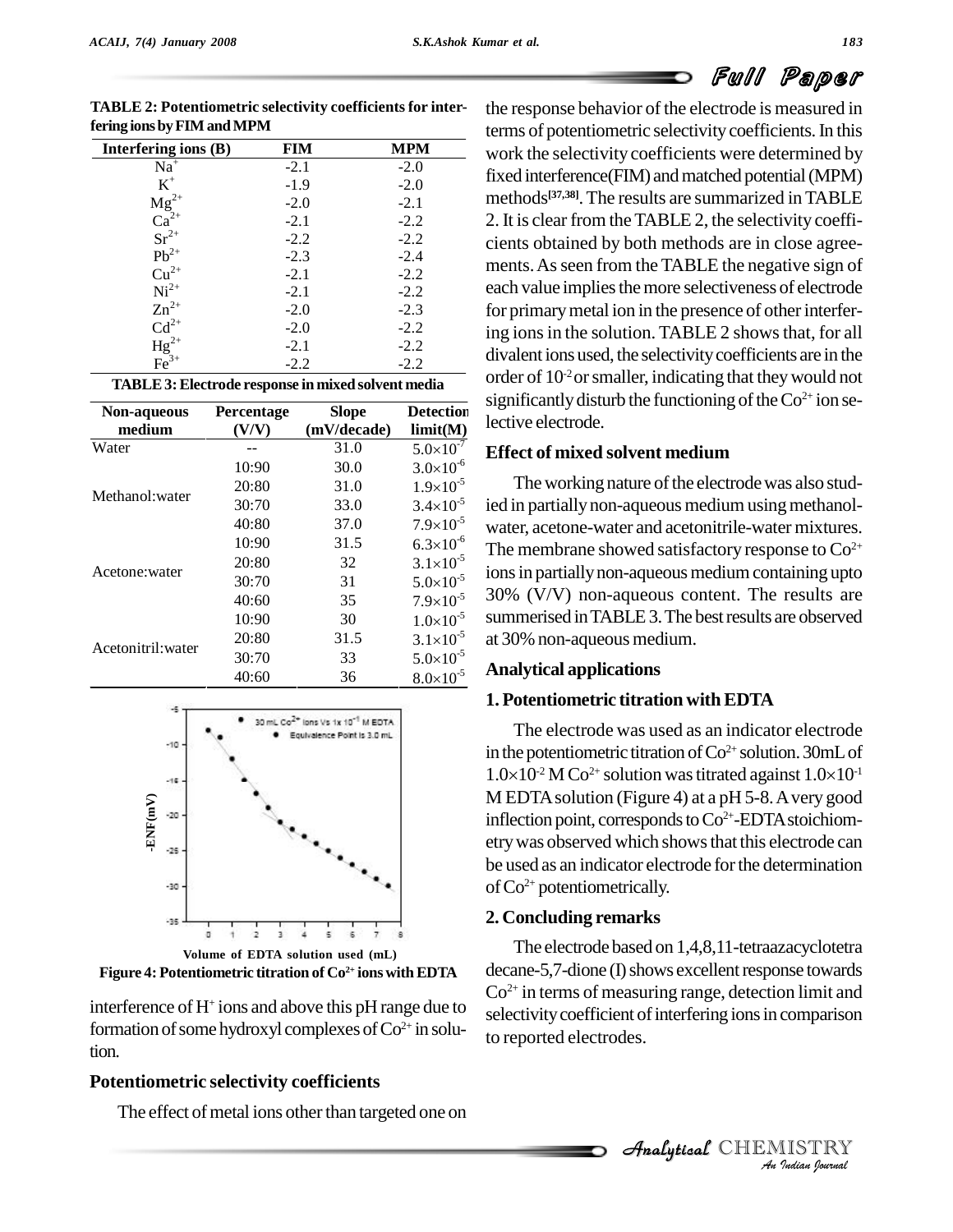# Full Paper

| Interfering ions (B)                                                       | FIM    | <b>MPM</b> |
|----------------------------------------------------------------------------|--------|------------|
| $Na+$                                                                      | $-2.1$ | $-2.0$     |
| $K^+$                                                                      | $-1.9$ | $-2.0$     |
| $\begin{array}{c}\n\mathbf{Mg}^{2+}_{2+} \\ \mathbf{Ca}^{2+}\n\end{array}$ | $-2.0$ | $-2.1$     |
|                                                                            | $-2.1$ | $-2.2$     |
| $Sr^{2+}$                                                                  | $-2.2$ | $-2.2$     |
| $Pb^{2+}$                                                                  | $-2.3$ | $-2.4$     |
| $Cu2+$                                                                     | $-2.1$ | $-2.2$     |
| $Ni2+$                                                                     | $-2.1$ | $-2.2$     |
| $Zn^{2+}$                                                                  | $-2.0$ | $-2.3$     |
| $Cd^{2+}$                                                                  | $-2.0$ | $-2.2$     |
| $\begin{array}{c}\n\text{Hg}^{2+}_{3+} \\ \text{Fe}^{3+}\n\end{array}$     | $-2.1$ | $-2.2$     |
|                                                                            | $-2.2$ | $-2.2$     |

**TABLE 2: Potentiometric selectivity coefficientsfor interfering ionsbyFIMandMPM**

|  | <b>TABLE 3: Electrode response in mixed solvent media</b> | or |
|--|-----------------------------------------------------------|----|
|--|-----------------------------------------------------------|----|

| Non-aqueous<br>medium | Percentage<br>(V/V) | <b>Slope</b><br>(mV/decade) | <b>Detection</b><br>limit(M) |
|-----------------------|---------------------|-----------------------------|------------------------------|
| Water                 |                     | 31.0                        | $5.0 \times 10^{-7}$         |
|                       | 10:90               | 30.0                        | $3.0\times10^{-6}$           |
| Methanol: water       | 20:80               | 31.0                        | $1.9\times10^{-5}$           |
|                       | 30:70               | 33.0                        | $3.4 \times 10^{-5}$         |
|                       | 40:80               | 37.0                        | $7.9\times10^{-5}$           |
|                       | 10:90               | 31.5                        | $6.3\times10^{-6}$           |
|                       | 20:80               | 32                          | $3.1 \times 10^{-5}$         |
| Acetone: water        | 30:70               | 31                          | $5.0 \times 10^{-5}$         |
|                       | 40:60               | 35                          | $7.9\times10^{-5}$           |
|                       | 10:90               | 30                          | $1.0\times10^{-5}$           |
|                       | 20:80               | 31.5                        | $3.1 \times 10^{-5}$         |
| Acetonitril: water    | 30:70               | 33                          | $5.0\times10^{-5}$           |
|                       | 40:60               | 36                          | $8.0 \times 10^{-5}$         |



**Figure 4: Potentiometric titration of Co 2+ ionswithEDTA**

interference of H<sup>+</sup> ions and above this pH range due to  $\frac{1}{\text{velocity}}$ formation of some hydroxyl complexes of  $Co^{2+}$  in solution.

#### **Potentiometric selectivity coefficients**

The effect of metal ions other than targeted one on

the response behavior of the electrode is measured in terms of potentiometric selectivity coefficients. In this  $\frac{\text{Interfering ions (B)} }{\text{FIM}}$  **MPM** work the selectivity coefficients were determined by fixed interference(FIM) and matched potential (MPM) methods **[37,38]**.The results are summarized inTABLE 2. It is clear from the TABLE 2, the selectivity coefficients obtained by both methods are in close agree ments.Asseen from the TABLE the negative sign of each value implies the more selectiveness of electrode for primary metal ion in the presence of other interfering ions in the solution. TABLE 2 shows that, for all divalent ions used, the selectivity coefficients are in the order of  $10<sup>2</sup>$  or smaller, indicating that they would not significantly disturb the functioning of the  $Co^{2+}$  ion se-Detection<br>lective electrode.

### **Effect of mixed solvent medium** -7

The working nature of the electrode was also studied in partially non-aqueous medium using methanolwater, acetone-water and acetonitrile-water mixtures.  $\frac{1}{2}$  The membrane showed satisfactory response to Co<sup>2+</sup> ions in partially non-aqueous medium containing upto 30% (V/V) non-aqueous content. The results are -5 summerised inTABLE3.The bestresults are observed -5  $-5$  at 30% non-aqueous medium. -5  $-5$   $-11$ 

#### **Analytical applications** -5

#### **1. Potentiometric titration withEDTA**

The electrode was used as an indicator electrode in the potentiometric titration of  $\rm{Co^{2+}}$  solution. 30mL of The electrode was used as an indicator electrode<br>in the potentiometric titration of  $Co^{2+}$  solution. 30mL of<br> $1.0\times10^{-2}$  M  $Co^{2+}$  solution was titrated against  $1.0\times10^{-1}$  $^{-2}$  M Co<sup>2+</sup> solution was titrated against  $1.0\times10^{11}$ M EDTA solution (Figure 4) at a pH 5-8. A very good inflection point, corresponds to  $Co^{2+}$ -EDTA stoichiometrywas observed which showsthat this electrode can be used as an indicator electrode for the determination ofCo 2+ potentiometrically.

#### **2. Concluding remarks**

to reported electrodes. The electrode based on 1,4,8,11-tetraazacyclotetra decane-5,7-dione (I) shows excellent response towards Co 2+ in terms of measuring range, detection limit and selectivity coefficient of interfering ions in comparison